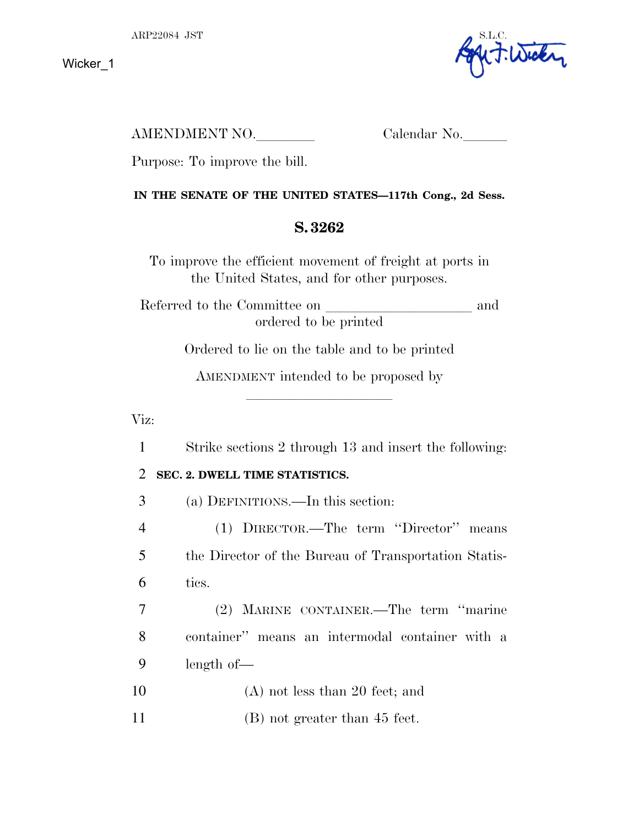

AMENDMENT NO. Calendar No.

Purpose: To improve the bill.

### **IN THE SENATE OF THE UNITED STATES—117th Cong., 2d Sess.**

# **S. 3262**

To improve the efficient movement of freight at ports in the United States, and for other purposes.

Referred to the Committee on and ordered to be printed

Ordered to lie on the table and to be printed

AMENDMENT intended to be proposed by

lla se a constituída a constituída a constituída a constituída a constituída a constituída a constituída a con

# Viz:

1 Strike sections 2 through 13 and insert the following:

# 2 **SEC. 2. DWELL TIME STATISTICS.**

3 (a) DEFINITIONS.—In this section:

4 (1) DIRECTOR.—The term ''Director'' means 5 the Director of the Bureau of Transportation Statis-6 tics.

7 (2) MARINE CONTAINER.—The term ''marine 8 container'' means an intermodal container with a 9 length of—

- 10 (A) not less than 20 feet; and
- 11 (B) not greater than 45 feet.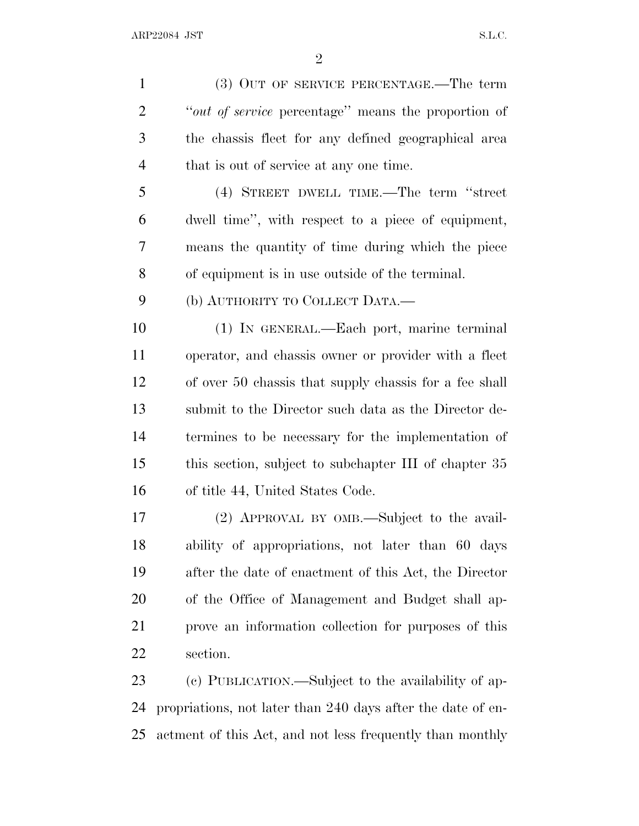(3) OUT OF SERVICE PERCENTAGE.—The term ''*out of service* percentage'' means the proportion of the chassis fleet for any defined geographical area that is out of service at any one time.

 (4) STREET DWELL TIME.—The term ''street dwell time'', with respect to a piece of equipment, means the quantity of time during which the piece of equipment is in use outside of the terminal.

(b) AUTHORITY TO COLLECT DATA.—

 (1) IN GENERAL.—Each port, marine terminal operator, and chassis owner or provider with a fleet of over 50 chassis that supply chassis for a fee shall submit to the Director such data as the Director de- termines to be necessary for the implementation of this section, subject to subchapter III of chapter 35 of title 44, United States Code.

 (2) APPROVAL BY OMB.—Subject to the avail- ability of appropriations, not later than 60 days after the date of enactment of this Act, the Director of the Office of Management and Budget shall ap- prove an information collection for purposes of this section.

 (c) PUBLICATION.—Subject to the availability of ap- propriations, not later than 240 days after the date of en-actment of this Act, and not less frequently than monthly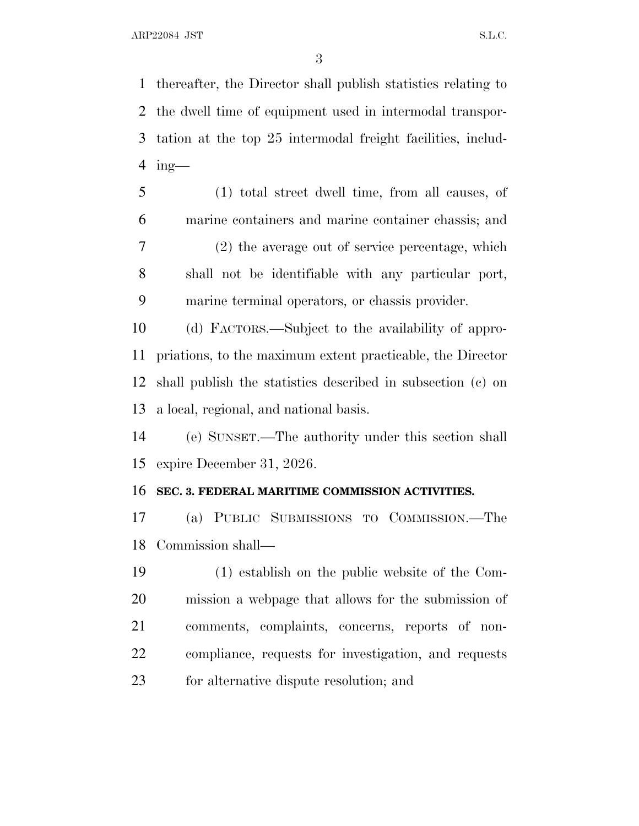thereafter, the Director shall publish statistics relating to the dwell time of equipment used in intermodal transpor- tation at the top 25 intermodal freight facilities, includ-ing—

 (1) total street dwell time, from all causes, of marine containers and marine container chassis; and (2) the average out of service percentage, which shall not be identifiable with any particular port, marine terminal operators, or chassis provider.

 (d) FACTORS.—Subject to the availability of appro- priations, to the maximum extent practicable, the Director shall publish the statistics described in subsection (c) on a local, regional, and national basis.

 (e) SUNSET.—The authority under this section shall expire December 31, 2026.

### **SEC. 3. FEDERAL MARITIME COMMISSION ACTIVITIES.**

 (a) PUBLIC SUBMISSIONS TO COMMISSION.—The Commission shall—

 (1) establish on the public website of the Com- mission a webpage that allows for the submission of comments, complaints, concerns, reports of non- compliance, requests for investigation, and requests for alternative dispute resolution; and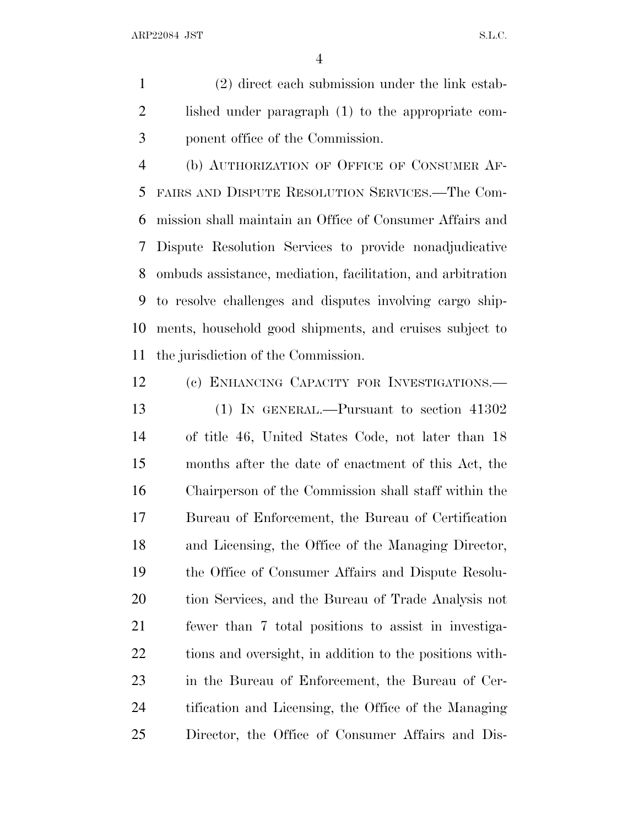(2) direct each submission under the link estab- lished under paragraph (1) to the appropriate com-ponent office of the Commission.

 (b) AUTHORIZATION OF OFFICE OF CONSUMER AF- FAIRS AND DISPUTE RESOLUTION SERVICES.—The Com- mission shall maintain an Office of Consumer Affairs and Dispute Resolution Services to provide nonadjudicative ombuds assistance, mediation, facilitation, and arbitration to resolve challenges and disputes involving cargo ship- ments, household good shipments, and cruises subject to the jurisdiction of the Commission.

 (c) ENHANCING CAPACITY FOR INVESTIGATIONS.— (1) IN GENERAL.—Pursuant to section 41302 of title 46, United States Code, not later than 18 months after the date of enactment of this Act, the Chairperson of the Commission shall staff within the Bureau of Enforcement, the Bureau of Certification and Licensing, the Office of the Managing Director, the Office of Consumer Affairs and Dispute Resolu- tion Services, and the Bureau of Trade Analysis not fewer than 7 total positions to assist in investiga- tions and oversight, in addition to the positions with- in the Bureau of Enforcement, the Bureau of Cer- tification and Licensing, the Office of the Managing Director, the Office of Consumer Affairs and Dis-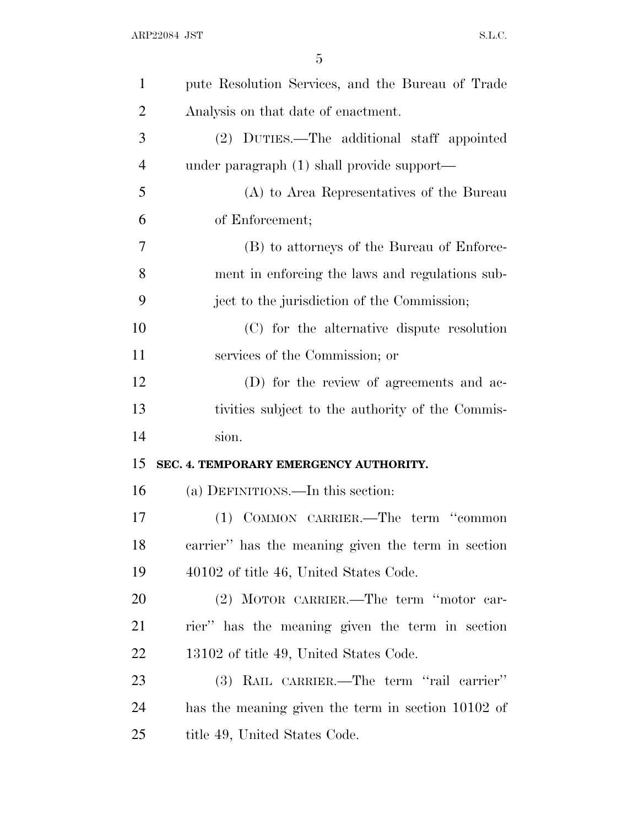| $\mathbf{1}$   | pute Resolution Services, and the Bureau of Trade  |
|----------------|----------------------------------------------------|
| $\overline{2}$ | Analysis on that date of enactment.                |
| 3              | (2) DUTIES.—The additional staff appointed         |
| $\overline{4}$ | under paragraph (1) shall provide support—         |
| 5              | (A) to Area Representatives of the Bureau          |
| 6              | of Enforcement;                                    |
| 7              | (B) to attorneys of the Bureau of Enforce-         |
| 8              | ment in enforcing the laws and regulations sub-    |
| 9              | ject to the jurisdiction of the Commission;        |
| 10             | (C) for the alternative dispute resolution         |
| 11             | services of the Commission; or                     |
| 12             | (D) for the review of agreements and ac-           |
|                |                                                    |
| 13             | tivities subject to the authority of the Commis-   |
| 14             | sion.                                              |
| 15             | SEC. 4. TEMPORARY EMERGENCY AUTHORITY.             |
| 16             | (a) DEFINITIONS.—In this section:                  |
| 17             | (1) COMMON CARRIER.—The term "common               |
| 18             | carrier" has the meaning given the term in section |
| 19             | 40102 of title 46, United States Code.             |
| 20             | (2) MOTOR CARRIER.—The term "motor car-            |
| 21             | rier" has the meaning given the term in section    |
| 22             | 13102 of title 49, United States Code.             |
| 23             | (3) RAIL CARRIER.—The term "rail carrier"          |
| 24             | has the meaning given the term in section 10102 of |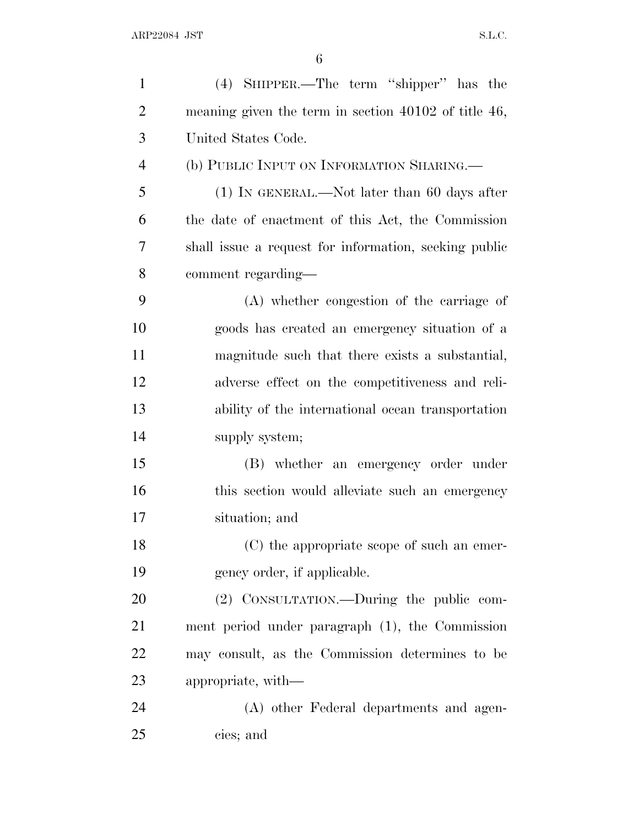| $\mathbf{1}$   | (4) SHIPPER.—The term "shipper" has the                   |
|----------------|-----------------------------------------------------------|
| $\overline{2}$ | meaning given the term in section $40102$ of title $46$ , |
| 3              | United States Code.                                       |
| $\overline{4}$ | (b) PUBLIC INPUT ON INFORMATION SHARING.                  |
| 5              | $(1)$ IN GENERAL.—Not later than 60 days after            |
| 6              | the date of enactment of this Act, the Commission         |
| 7              | shall issue a request for information, seeking public     |
| 8              | comment regarding—                                        |
| 9              | (A) whether congestion of the carriage of                 |
| 10             | goods has created an emergency situation of a             |
| 11             | magnitude such that there exists a substantial,           |
| 12             | adverse effect on the competitiveness and reli-           |
| 13             | ability of the international ocean transportation         |
| 14             | supply system;                                            |
| 15             | (B) whether an emergency order under                      |
| 16             | this section would alleviate such an emergency            |
| 17             | situation; and                                            |
| 18             | (C) the appropriate scope of such an emer-                |
| 19             | gency order, if applicable.                               |
| 20             | (2) CONSULTATION.—During the public com-                  |
| 21             | ment period under paragraph (1), the Commission           |
| 22             | may consult, as the Commission determines to be           |
| 23             | appropriate, with—                                        |
| 24             | (A) other Federal departments and agen-                   |
| 25             | cies; and                                                 |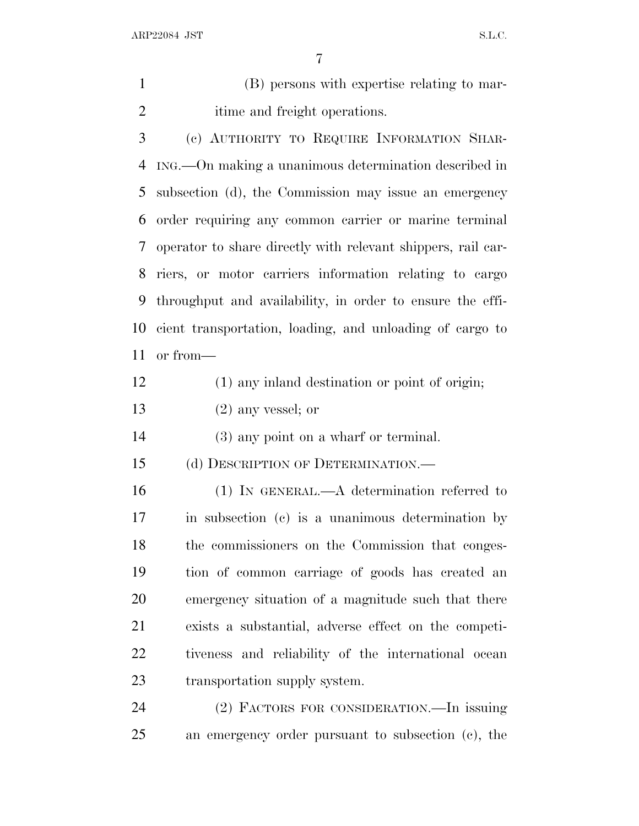| $\mathbf{1}$   | (B) persons with expertise relating to mar-                  |
|----------------|--------------------------------------------------------------|
| $\overline{2}$ | itime and freight operations.                                |
| 3              | (c) AUTHORITY TO REQUIRE INFORMATION SHAR-                   |
| 4              | ING.—On making a unanimous determination described in        |
| 5              | subsection (d), the Commission may issue an emergency        |
| 6              | order requiring any common carrier or marine terminal        |
| 7              | operator to share directly with relevant shippers, rail car- |
| 8              | riers, or motor carriers information relating to cargo       |
| 9              | throughput and availability, in order to ensure the effi-    |
| 10             | cient transportation, loading, and unloading of cargo to     |
| 11             | or from-                                                     |
| 12             | (1) any inland destination or point of origin;               |
| 13             | $(2)$ any vessel; or                                         |
| 14             | $(3)$ any point on a wharf or terminal.                      |
| 15             | (d) DESCRIPTION OF DETERMINATION.                            |
| 16             | $(1)$ In GENERAL.—A determination referred to                |
| 17             | in subsection (c) is a unanimous determination by            |
| 18             | the commissioners on the Commission that conges-             |
| 19             | tion of common carriage of goods has created an              |
| 20             | emergency situation of a magnitude such that there           |
| 21             | exists a substantial, adverse effect on the competi-         |
| 22             | tiveness and reliability of the international ocean          |
| 23             | transportation supply system.                                |
| 24             | (2) FACTORS FOR CONSIDERATION.—In issuing                    |
| 25             | an emergency order pursuant to subsection (c), the           |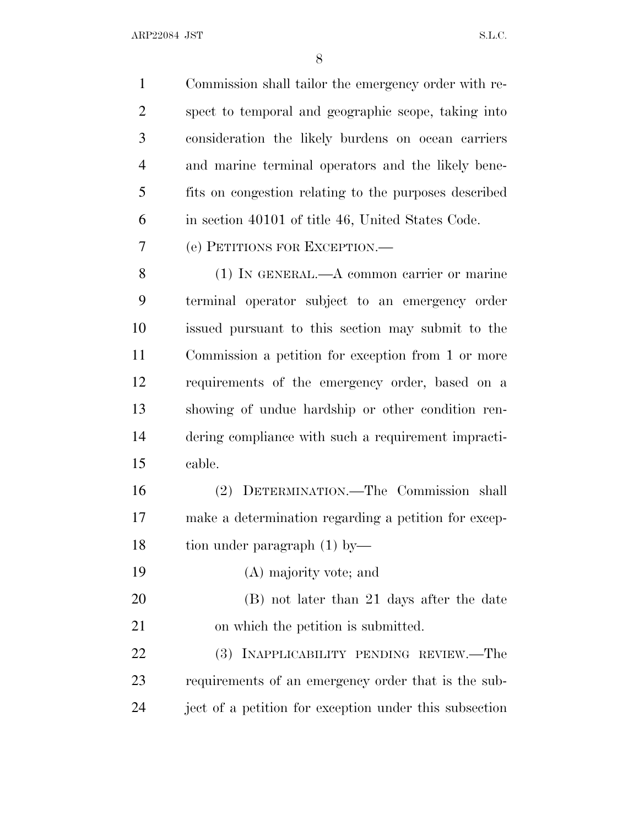ARP22084 JST S.L.C.

 Commission shall tailor the emergency order with re- spect to temporal and geographic scope, taking into consideration the likely burdens on ocean carriers and marine terminal operators and the likely bene- fits on congestion relating to the purposes described in section 40101 of title 46, United States Code. (e) PETITIONS FOR EXCEPTION.— (1) IN GENERAL.—A common carrier or marine terminal operator subject to an emergency order issued pursuant to this section may submit to the Commission a petition for exception from 1 or more requirements of the emergency order, based on a showing of undue hardship or other condition ren- dering compliance with such a requirement impracti- cable. (2) DETERMINATION.—The Commission shall make a determination regarding a petition for excep- tion under paragraph (1) by— (A) majority vote; and (B) not later than 21 days after the date

on which the petition is submitted.

 (3) INAPPLICABILITY PENDING REVIEW.—The requirements of an emergency order that is the sub-ject of a petition for exception under this subsection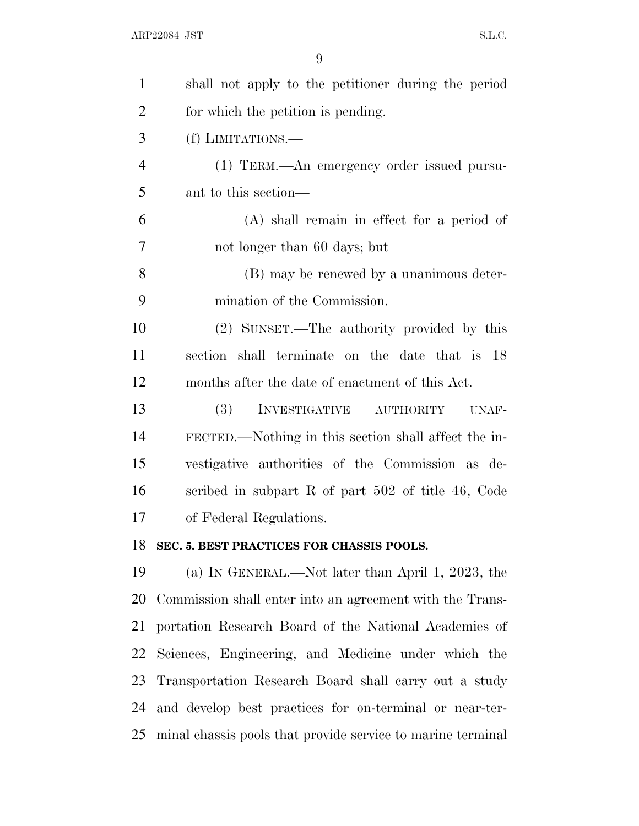| $\mathbf{1}$   | shall not apply to the petitioner during the period         |
|----------------|-------------------------------------------------------------|
| $\overline{2}$ | for which the petition is pending.                          |
| 3              | (f) LIMITATIONS.—                                           |
| $\overline{4}$ | (1) TERM.—An emergency order issued pursu-                  |
| 5              | ant to this section—                                        |
| 6              | $(A)$ shall remain in effect for a period of                |
| 7              | not longer than 60 days; but                                |
| 8              | (B) may be renewed by a unanimous deter-                    |
| 9              | mination of the Commission.                                 |
| 10             | (2) SUNSET.—The authority provided by this                  |
| 11             | section shall terminate on the date that is 18              |
| 12             | months after the date of enactment of this Act.             |
| 13             | <b>(3)</b><br>INVESTIGATIVE<br><b>AUTHORITY</b><br>UNAF-    |
| 14             | FECTED.—Nothing in this section shall affect the in-        |
| 15             | vestigative authorities of the Commission as de-            |
| 16             | scribed in subpart R of part 502 of title 46, Code          |
| 17             | of Federal Regulations.                                     |
|                | 18 SEC. 5. BEST PRACTICES FOR CHASSIS POOLS.                |
| 19             | (a) IN GENERAL.—Not later than April 1, 2023, the           |
| 20             | Commission shall enter into an agreement with the Trans-    |
| 21             | portation Research Board of the National Academies of       |
| 22             | Sciences, Engineering, and Medicine under which the         |
| 23             | Transportation Research Board shall carry out a study       |
| 24             | and develop best practices for on-terminal or near-ter-     |
| 25             | minal chassis pools that provide service to marine terminal |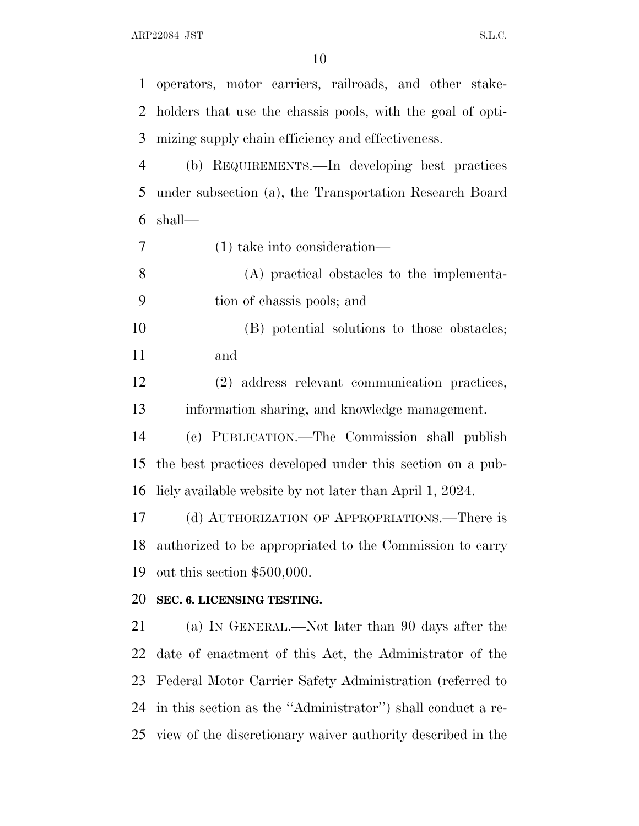ARP22084 JST S.L.C.

 operators, motor carriers, railroads, and other stake- holders that use the chassis pools, with the goal of opti- mizing supply chain efficiency and effectiveness. (b) REQUIREMENTS.—In developing best practices under subsection (a), the Transportation Research Board shall— (1) take into consideration— (A) practical obstacles to the implementa- tion of chassis pools; and (B) potential solutions to those obstacles; and (2) address relevant communication practices, information sharing, and knowledge management. (c) PUBLICATION.—The Commission shall publish the best practices developed under this section on a pub- licly available website by not later than April 1, 2024. (d) AUTHORIZATION OF APPROPRIATIONS.—There is authorized to be appropriated to the Commission to carry out this section \$500,000. **SEC. 6. LICENSING TESTING.** (a) I<sup>N</sup> GENERAL.—Not later than 90 days after the date of enactment of this Act, the Administrator of the Federal Motor Carrier Safety Administration (referred to in this section as the ''Administrator'') shall conduct a re-view of the discretionary waiver authority described in the